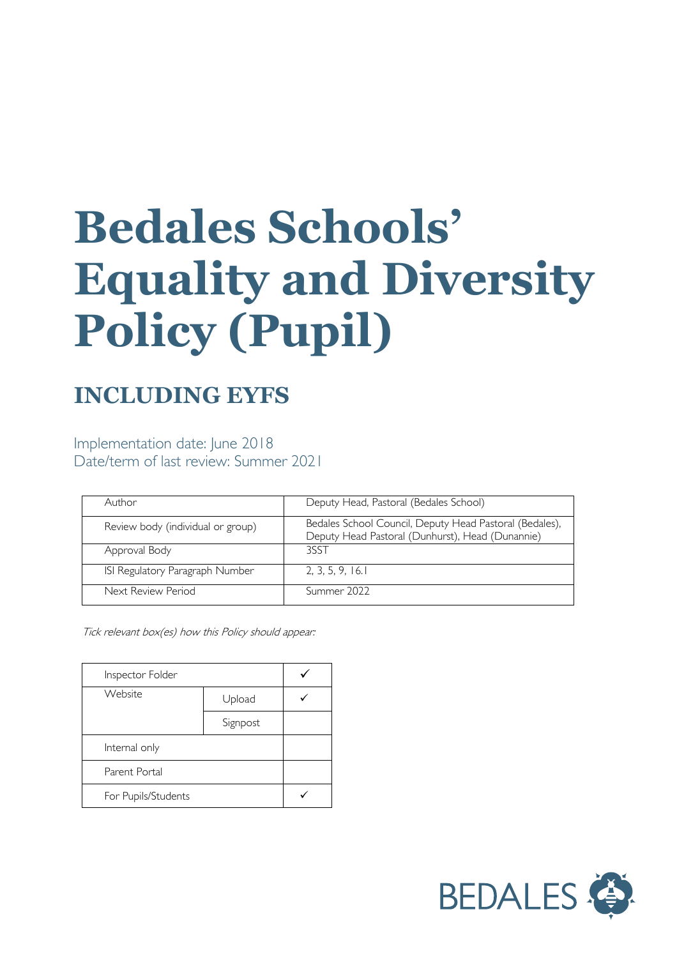# **Bedales Schools' Equality and Diversity Policy (Pupil)**

# **INCLUDING EYFS**

Implementation date: June 2018 Date/term of last review: Summer 2021

| Author                            | Deputy Head, Pastoral (Bedales School)                                                                      |
|-----------------------------------|-------------------------------------------------------------------------------------------------------------|
| Review body (individual or group) | Bedales School Council, Deputy Head Pastoral (Bedales),<br>Deputy Head Pastoral (Dunhurst), Head (Dunannie) |
| Approval Body                     | 3SST                                                                                                        |
| ISI Regulatory Paragraph Number   | 2, 3, 5, 9, 16.1                                                                                            |
| Next Review Period                | Summer 2022                                                                                                 |

Tick relevant box(es) how this Policy should appear:

| Inspector Folder    |          |  |
|---------------------|----------|--|
| Website             | Upload   |  |
|                     | Signpost |  |
| Internal only       |          |  |
| Parent Portal       |          |  |
| For Pupils/Students |          |  |

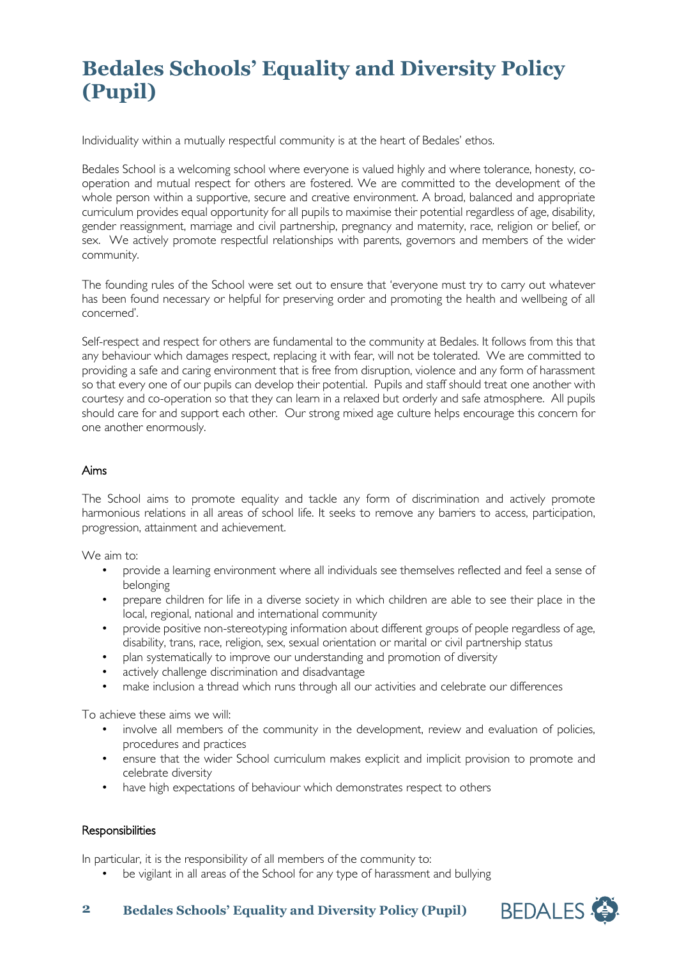## **Bedales Schools' Equality and Diversity Policy (Pupil)**

Individuality within a mutually respectful community is at the heart of Bedales' ethos.

Bedales School is a welcoming school where everyone is valued highly and where tolerance, honesty, cooperation and mutual respect for others are fostered. We are committed to the development of the whole person within a supportive, secure and creative environment. A broad, balanced and appropriate curriculum provides equal opportunity for all pupils to maximise their potential regardless of age, disability, gender reassignment, marriage and civil partnership, pregnancy and maternity, race, religion or belief, or sex. We actively promote respectful relationships with parents, governors and members of the wider community.

The founding rules of the School were set out to ensure that 'everyone must try to carry out whatever has been found necessary or helpful for preserving order and promoting the health and wellbeing of all concerned'.

Self-respect and respect for others are fundamental to the community at Bedales. It follows from this that any behaviour which damages respect, replacing it with fear, will not be tolerated. We are committed to providing a safe and caring environment that is free from disruption, violence and any form of harassment so that every one of our pupils can develop their potential. Pupils and staff should treat one another with courtesy and co-operation so that they can learn in a relaxed but orderly and safe atmosphere. All pupils should care for and support each other. Our strong mixed age culture helps encourage this concern for one another enormously.

#### Aims

The School aims to promote equality and tackle any form of discrimination and actively promote harmonious relations in all areas of school life. It seeks to remove any barriers to access, participation, progression, attainment and achievement.

We aim to:

- provide a learning environment where all individuals see themselves reflected and feel a sense of belonging
- prepare children for life in a diverse society in which children are able to see their place in the local, regional, national and international community
- provide positive non-stereotyping information about different groups of people regardless of age, disability, trans, race, religion, sex, sexual orientation or marital or civil partnership status
- plan systematically to improve our understanding and promotion of diversity
- actively challenge discrimination and disadvantage
- make inclusion a thread which runs through all our activities and celebrate our differences

To achieve these aims we will:

- involve all members of the community in the development, review and evaluation of policies, procedures and practices
- ensure that the wider School curriculum makes explicit and implicit provision to promote and celebrate diversity
- have high expectations of behaviour which demonstrates respect to others

#### **Responsibilities**

In particular, it is the responsibility of all members of the community to:

be vigilant in all areas of the School for any type of harassment and bullying



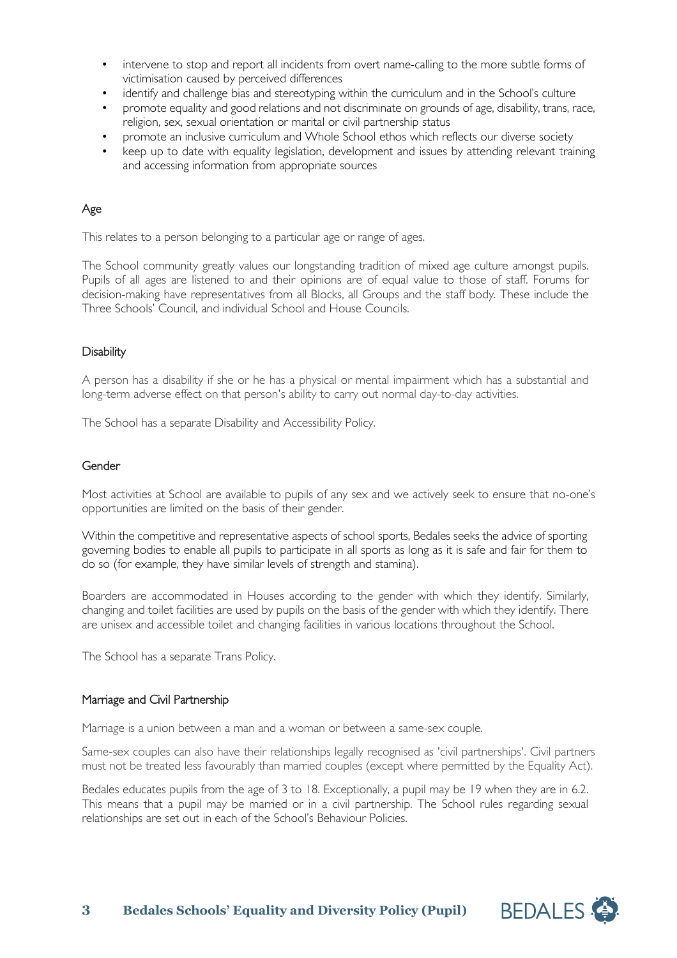- intervene to stop and report all incidents from overt name-calling to the more subtle forms of victimisation caused by perceived differences
- identify and challenge bias and stereotyping within the curriculum and in the School's culture
- promote equality and good relations and not discriminate on grounds of age, disability, trans, race, religion, sex, sexual orientation or marital or civil partnership status
- promote an inclusive curriculum and Whole School ethos which reflects our diverse society
- keep up to date with equality legislation, development and issues by attending relevant training and accessing information from appropriate sources

### Age

This relates to a person belonging to a particular age or range of ages.

The School community greatly values our longstanding tradition of mixed age culture amongst pupils. Pupils of all ages are listened to and their opinions are of equal value to those of staff. Forums for decision-making have representatives from all Blocks, all Groups and the staff body. These include the Three Schools' Council, and individual School and House Councils.

#### **Disability**

A person has a disability if she or he has a physical or mental impairment which has a substantial and long-term adverse effect on that person's ability to carry out normal day-to-day activities.

The School has a separate Disability and Accessibility Policy.

#### **Gender**

Most activities at School are available to pupils of any sex and we actively seek to ensure that no-one's opportunities are limited on the basis of their gender.

Within the competitive and representative aspects of school sports, Bedales seeks the advice of sporting governing bodies to enable all pupils to participate in all sports as long as it is safe and fair for them to do so (for example, they have similar levels of strength and stamina).

Boarders are accommodated in Houses according to the gender with which they identify. Similarly, changing and toilet facilities are used by pupils on the basis of the gender with which they identify. There are unisex and accessible toilet and changing facilities in various locations throughout the School.

The School has a separate Trans Policy.

#### Marriage and Civil Partnership

Marriage is a union between a man and a woman or between a same-sex couple.

Same-sex couples can also have their relationships legally recognised as 'civil partnerships'. Civil partners must not be treated less favourably than married couples (except where permitted by the Equality Act).

Bedales educates pupils from the age of 3 to 18. Exceptionally, a pupil may be 19 when they are in 6.2. This means that a pupil may be married or in a civil partnership. The School rules regarding sexual relationships are set out in each of the School's Behaviour Policies.

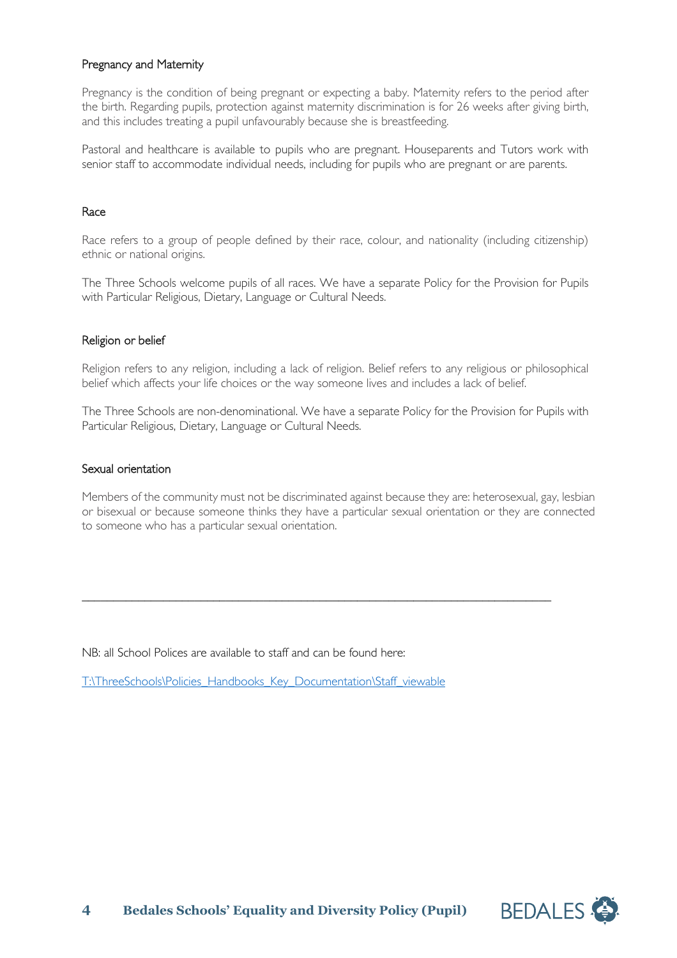#### Pregnancy and Maternity

Pregnancy is the condition of being pregnant or expecting a baby. Maternity refers to the period after the birth. Regarding pupils, protection against maternity discrimination is for 26 weeks after giving birth, and this includes treating a pupil unfavourably because she is breastfeeding.

Pastoral and healthcare is available to pupils who are pregnant. Houseparents and Tutors work with senior staff to accommodate individual needs, including for pupils who are pregnant or are parents.

#### Race

Race refers to a group of people defined by their race, colour, and nationality (including citizenship) ethnic or national origins.

The Three Schools welcome pupils of all races. We have a separate Policy for the Provision for Pupils with Particular Religious, Dietary, Language or Cultural Needs.

#### Religion or belief

Religion refers to any religion, including a lack of religion. Belief refers to any religious or philosophical belief which affects your life choices or the way someone lives and includes a lack of belief.

The Three Schools are non-denominational. We have a separate Policy for the Provision for Pupils with Particular Religious, Dietary, Language or Cultural Needs.

#### Sexual orientation

Members of the community must not be discriminated against because they are: heterosexual, gay, lesbian or bisexual or because someone thinks they have a particular sexual orientation or they are connected to someone who has a particular sexual orientation.

\_\_\_\_\_\_\_\_\_\_\_\_\_\_\_\_\_\_\_\_\_\_\_\_\_\_\_\_\_\_\_\_\_\_\_\_\_\_\_\_\_\_\_\_\_\_\_\_\_\_\_\_\_\_\_\_\_\_\_\_\_\_\_\_\_\_\_\_\_\_\_\_\_\_\_

NB: all School Polices are available to staff and can be found here:

[T:\ThreeSchools\Policies\\_Handbooks\\_Key\\_Documentation\Staff\\_viewable](file://vm-009-fs/root$/ThreeSchools/Policies_Handbooks_Key_Documentation/Staff_viewable)